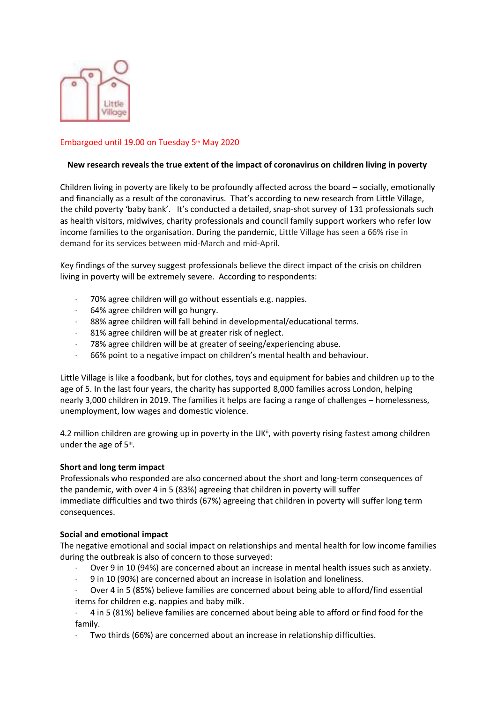

### Embargoed until 19.00 on Tuesday 5th May 2020

#### **New research reveals the true extent of the impact of coronavirus on children living in poverty**

Children living in poverty are likely to be profoundly affected across the board – socially, emotionally and financially as a result of the coronavirus. That's according to new research from Little Village, the child poverty 'baby bank'. It's conducted a detailed, snap-shot survey of 131 professionals such as health visitors, midwives, charity professionals and council family support workers who refer low income families to the organisation. During the pandemic, Little Village has seen a 66% rise in demand for its services between mid-March and mid-April.

Key findings of the survey suggest professionals believe the direct impact of the crisis on children living in poverty will be extremely severe. According to respondents:

- · 70% agree children will go without essentials e.g. nappies.
- · 64% agree children will go hungry.
- 88% agree children will fall behind in developmental/educational terms.
- 81% agree children will be at greater risk of neglect.
- · 78% agree children will be at greater of seeing/experiencing abuse.
- · 66% point to a negative impact on children's mental health and behaviour.

Little Village is like a foodbank, but for clothes, toys and equipment for babies and children up to the age of 5. In the last four years, the charity has supported 8,000 families across London, helping nearly 3,000 children in 2019. The families it helps are facing a range of challenges – homelessness, unemployment, low wages and domestic violence.

4.2 million children are growing up in poverty in the UK<sup>ii</sup>, with poverty rising fastest among children under the age of 5iii.

#### **Short and long term impact**

Professionals who responded are also concerned about the short and long-term consequences of the pandemic, with over 4 in 5 (83%) agreeing that children in poverty will suffer immediate difficulties and two thirds (67%) agreeing that children in poverty will suffer long term consequences.

#### **Social and emotional impact**

The negative emotional and social impact on relationships and mental health for low income families during the outbreak is also of concern to those surveyed:

- Over 9 in 10 (94%) are concerned about an increase in mental health issues such as anxiety.
- · 9 in 10 (90%) are concerned about an increase in isolation and loneliness.
- Over 4 in 5 (85%) believe families are concerned about being able to afford/find essential items for children e.g. nappies and baby milk.
- · 4 in 5 (81%) believe families are concerned about being able to afford or find food for the family.
- Two thirds (66%) are concerned about an increase in relationship difficulties.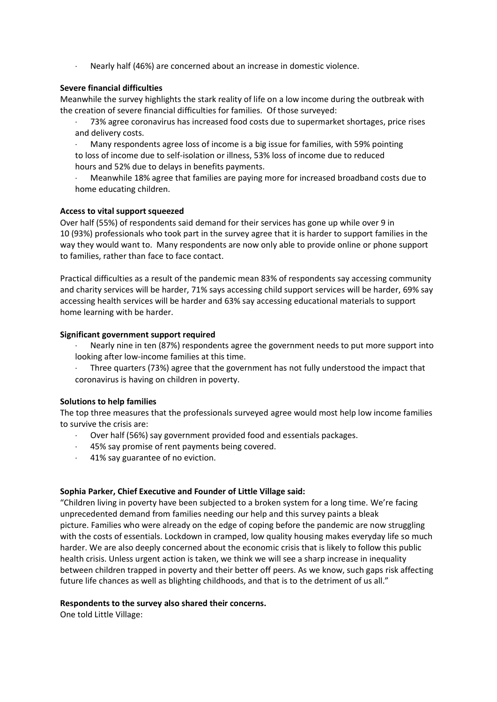· Nearly half (46%) are concerned about an increase in domestic violence.

# **Severe financial difficulties**

Meanwhile the survey highlights the stark reality of life on a low income during the outbreak with the creation of severe financial difficulties for families. Of those surveyed:

- · 73% agree coronavirus has increased food costs due to supermarket shortages, price rises and delivery costs.
- · Many respondents agree loss of income is a big issue for families, with 59% pointing to loss of income due to self-isolation or illness, 53% loss of income due to reduced hours and 52% due to delays in benefits payments.
- · Meanwhile 18% agree that families are paying more for increased broadband costs due to home educating children.

# **Access to vital support squeezed**

Over half (55%) of respondents said demand for their services has gone up while over 9 in 10 (93%) professionals who took part in the survey agree that it is harder to support families in the way they would want to. Many respondents are now only able to provide online or phone support to families, rather than face to face contact.

Practical difficulties as a result of the pandemic mean 83% of respondents say accessing community and charity services will be harder, 71% says accessing child support services will be harder, 69% say accessing health services will be harder and 63% say accessing educational materials to support home learning with be harder.

# **Significant government support required**

- · Nearly nine in ten (87%) respondents agree the government needs to put more support into looking after low-income families at this time.
- · Three quarters (73%) agree that the government has not fully understood the impact that coronavirus is having on children in poverty.

#### **Solutions to help families**

The top three measures that the professionals surveyed agree would most help low income families to survive the crisis are:

- · Over half (56%) say government provided food and essentials packages.
- · 45% say promise of rent payments being covered.
- 41% say guarantee of no eviction.

#### **Sophia Parker, Chief Executive and Founder of Little Village said:**

"Children living in poverty have been subjected to a broken system for a long time. We're facing unprecedented demand from families needing our help and this survey paints a bleak picture. Families who were already on the edge of coping before the pandemic are now struggling with the costs of essentials. Lockdown in cramped, low quality housing makes everyday life so much harder. We are also deeply concerned about the economic crisis that is likely to follow this public health crisis. Unless urgent action is taken, we think we will see a sharp increase in inequality between children trapped in poverty and their better off peers. As we know, such gaps risk affecting future life chances as well as blighting childhoods, and that is to the detriment of us all."

#### **Respondents to the survey also shared their concerns.**

One told Little Village: